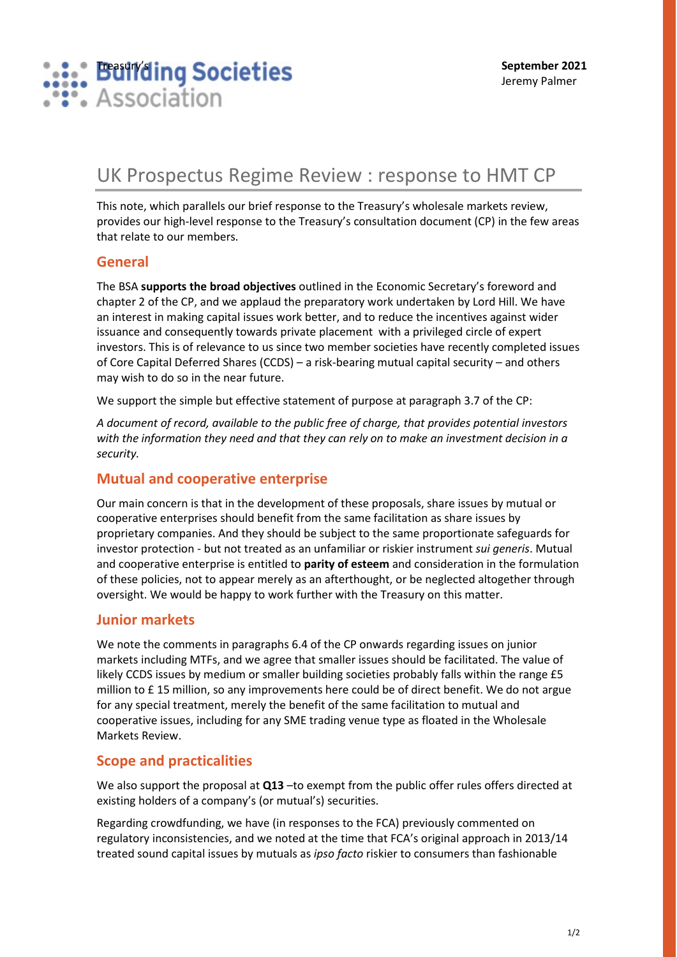

# UK Prospectus Regime Review : response to HMT CP

This note, which parallels our brief response to the Treasury's wholesale markets review, provides our high-level response to the Treasury's consultation document (CP) in the few areas that relate to our members.

#### **General**

The BSA **supports the broad objectives** outlined in the Economic Secretary's foreword and chapter 2 of the CP, and we applaud the preparatory work undertaken by Lord Hill. We have an interest in making capital issues work better, and to reduce the incentives against wider issuance and consequently towards private placement with a privileged circle of expert investors. This is of relevance to us since two member societies have recently completed issues of Core Capital Deferred Shares (CCDS) – a risk-bearing mutual capital security – and others may wish to do so in the near future.

We support the simple but effective statement of purpose at paragraph 3.7 of the CP:

*A document of record, available to the public free of charge, that provides potential investors with the information they need and that they can rely on to make an investment decision in a security.* 

### **Mutual and cooperative enterprise**

Our main concern is that in the development of these proposals, share issues by mutual or cooperative enterprises should benefit from the same facilitation as share issues by proprietary companies. And they should be subject to the same proportionate safeguards for investor protection - but not treated as an unfamiliar or riskier instrument *sui generis*. Mutual and cooperative enterprise is entitled to **parity of esteem** and consideration in the formulation of these policies, not to appear merely as an afterthought, or be neglected altogether through oversight. We would be happy to work further with the Treasury on this matter.

#### **Junior markets**

We note the comments in paragraphs 6.4 of the CP onwards regarding issues on junior markets including MTFs, and we agree that smaller issues should be facilitated. The value of likely CCDS issues by medium or smaller building societies probably falls within the range £5 million to £ 15 million, so any improvements here could be of direct benefit. We do not argue for any special treatment, merely the benefit of the same facilitation to mutual and cooperative issues, including for any SME trading venue type as floated in the Wholesale Markets Review.

#### **Scope and practicalities**

We also support the proposal at Q13 –to exempt from the public offer rules offers directed at existing holders of a company's (or mutual's) securities.

Regarding crowdfunding, we have (in responses to the FCA) previously commented on regulatory inconsistencies, and we noted at the time that FCA's original approach in 2013/14 treated sound capital issues by mutuals as *ipso facto* riskier to consumers than fashionable